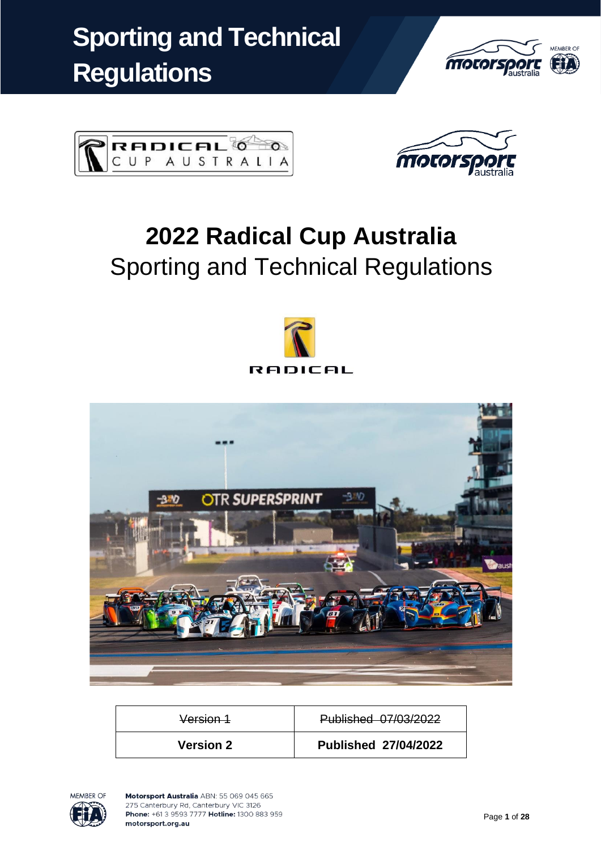





# **2022 Radical Cup Australia** Sporting and Technical Regulations





| <b>Version 2</b> | <b>Published 27/04/2022</b> |
|------------------|-----------------------------|
| Version 1        | Published 07/03/2022        |

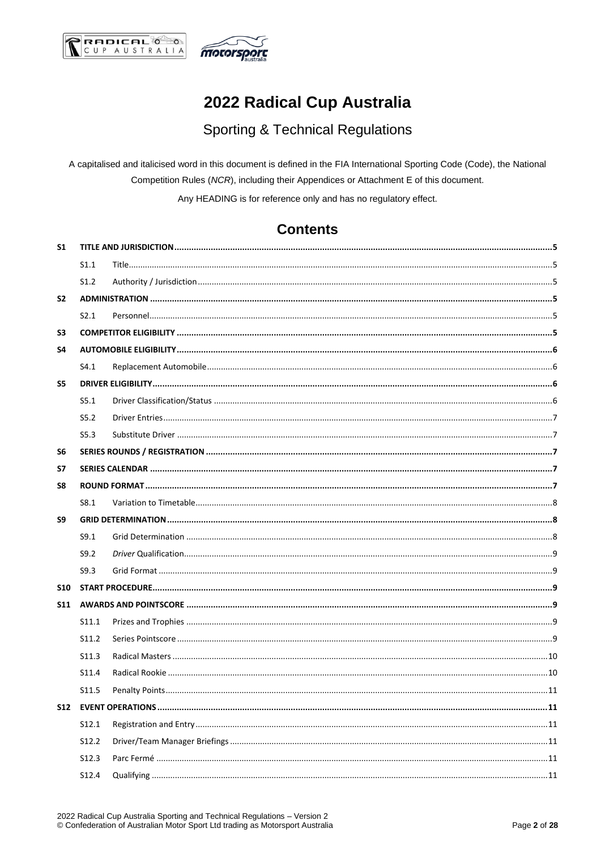



## 2022 Radical Cup Australia

## **Sporting & Technical Regulations**

A capitalised and italicised word in this document is defined in the FIA International Sporting Code (Code), the National Competition Rules (NCR), including their Appendices or Attachment E of this document.

Any HEADING is for reference only and has no regulatory effect.

## **Contents**

| <b>S1</b>      |                   |  |
|----------------|-------------------|--|
|                | S1.1              |  |
|                | S1.2              |  |
| S <sub>2</sub> |                   |  |
|                | S2.1              |  |
| S <sub>3</sub> |                   |  |
| S4             |                   |  |
|                | S4.1              |  |
| S5             |                   |  |
|                | S5.1              |  |
|                | S5.2              |  |
|                | S5.3              |  |
| S6             |                   |  |
| S7             |                   |  |
| S8             |                   |  |
|                | S8.1              |  |
| S9             |                   |  |
|                | S9.1              |  |
|                |                   |  |
|                | S9.2              |  |
|                | S9.3              |  |
| <b>S10</b>     |                   |  |
|                |                   |  |
|                | S11.1             |  |
|                | S11.2             |  |
|                | S11.3             |  |
|                | S11.4             |  |
|                | S <sub>11.5</sub> |  |
|                |                   |  |
|                | S12.1             |  |
|                | S12.2             |  |
|                | S12.3             |  |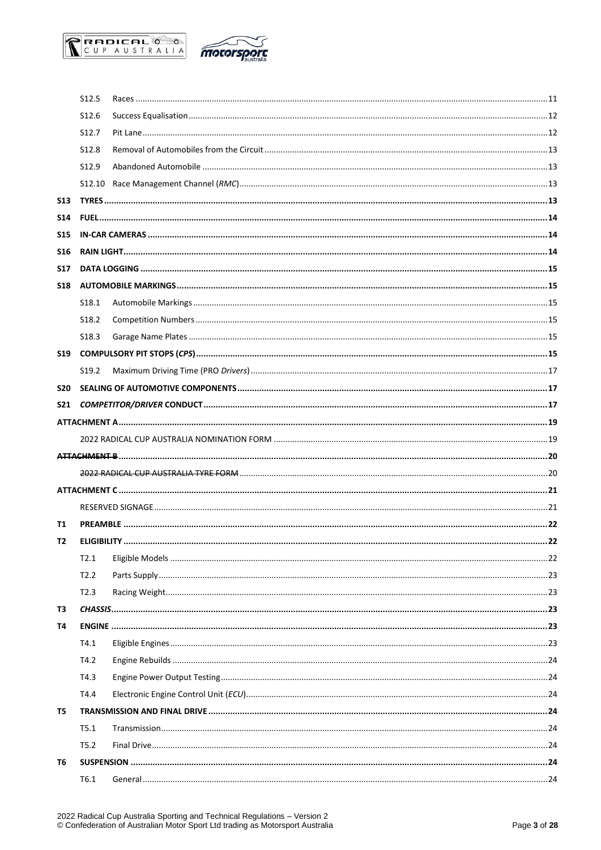



|            | S12.5             |  |
|------------|-------------------|--|
|            | S <sub>12.6</sub> |  |
|            | S12.7             |  |
|            | S12.8             |  |
|            | S12.9             |  |
|            |                   |  |
| <b>S13</b> |                   |  |
| <b>S14</b> |                   |  |
| <b>S15</b> |                   |  |
| <b>S16</b> |                   |  |
| <b>S17</b> |                   |  |
| <b>S18</b> |                   |  |
|            | S <sub>18.1</sub> |  |
|            | S <sub>18.2</sub> |  |
|            | S <sub>18.3</sub> |  |
| <b>S19</b> |                   |  |
|            | S <sub>19.2</sub> |  |
| <b>S20</b> |                   |  |
| <b>S21</b> |                   |  |
|            |                   |  |
|            |                   |  |
|            |                   |  |
|            |                   |  |
|            |                   |  |
|            |                   |  |
| T1         |                   |  |
| T2         |                   |  |
|            | T2.1              |  |
|            | T2.2              |  |
|            | T2.3              |  |
| T3         |                   |  |
| Т4         |                   |  |
|            | T4.1              |  |
|            | T4.2              |  |
|            | T4.3              |  |
|            | T4.4              |  |
| T5         |                   |  |
|            | T5.1              |  |
|            | T5.2              |  |
| T6         |                   |  |
|            | T6.1              |  |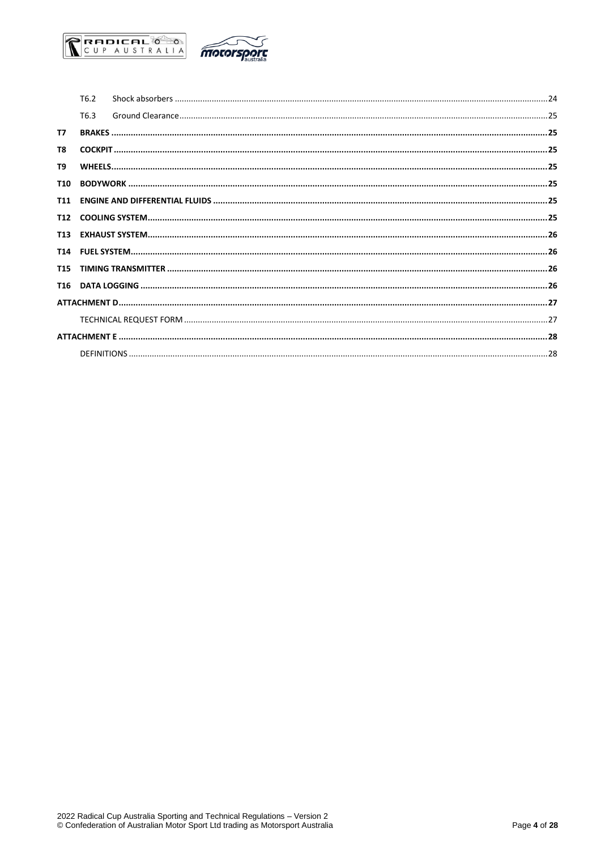

|            | T6.2 |  |
|------------|------|--|
|            | T6.3 |  |
| T7         |      |  |
| T8         |      |  |
| T9         |      |  |
| <b>T10</b> |      |  |
|            |      |  |
|            |      |  |
|            |      |  |
|            |      |  |
|            |      |  |
|            |      |  |
|            |      |  |
|            |      |  |
|            |      |  |
|            |      |  |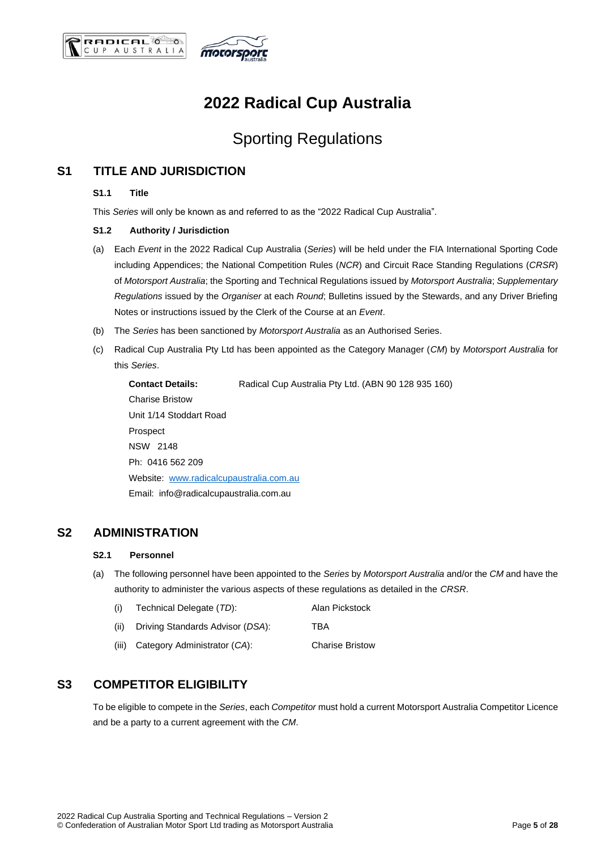



## **2022 Radical Cup Australia**

## Sporting Regulations

## <span id="page-4-1"></span><span id="page-4-0"></span>**S1 TITLE AND JURISDICTION**

### **S1.1 Title**

This *Series* will only be known as and referred to as the "2022 Radical Cup Australia".

#### <span id="page-4-2"></span>**S1.2 Authority / Jurisdiction**

- (a) Each *Event* in the 2022 Radical Cup Australia (*Series*) will be held under the FIA International Sporting Code including Appendices; the National Competition Rules (*NCR*) and Circuit Race Standing Regulations (*CRSR*) of *Motorsport Australia*; the Sporting and Technical Regulations issued by *Motorsport Australia*; *Supplementary Regulations* issued by the *Organiser* at each *Round*; Bulletins issued by the Stewards, and any Driver Briefing Notes or instructions issued by the Clerk of the Course at an *Event*.
- (b) The *Series* has been sanctioned by *Motorsport Australia* as an Authorised Series.
- (c) Radical Cup Australia Pty Ltd has been appointed as the Category Manager (*CM*) by *Motorsport Australia* for this *Series*.

**Contact Details:** Radical Cup Australia Pty Ltd. (ABN 90 128 935 160) Charise Bristow Unit 1/14 Stoddart Road Prospect NSW 2148 Ph: 0416 562 209 Website: [www.radicalcupaustralia.com.au](http://www.radicalcupaustralia.com.au/) Email: info@radicalcupaustralia.com.au

### <span id="page-4-4"></span><span id="page-4-3"></span>**S2 ADMINISTRATION**

#### **S2.1 Personnel**

(a) The following personnel have been appointed to the *Series* by *Motorsport Australia* and/or the *CM* and have the authority to administer the various aspects of these regulations as detailed in the *CRSR*.

| (i)     | Technical Delegate (TD):         | Alan Pickstock         |
|---------|----------------------------------|------------------------|
| (ii)    | Driving Standards Advisor (DSA): | TBA                    |
| (iii) - | Category Administrator (CA):     | <b>Charise Bristow</b> |

## <span id="page-4-5"></span>**S3 COMPETITOR ELIGIBILITY**

To be eligible to compete in the *Series*, each *Competitor* must hold a current Motorsport Australia Competitor Licence and be a party to a current agreement with the *CM*.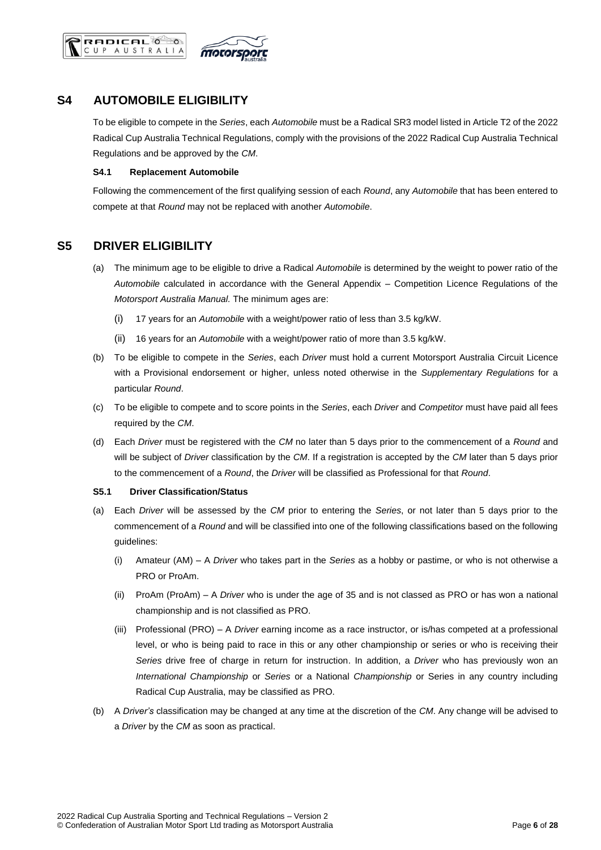



## <span id="page-5-0"></span>**S4 AUTOMOBILE ELIGIBILITY**

To be eligible to compete in the *Series*, each *Automobile* must be a Radical SR3 model listed in Article T2 of the 2022 Radical Cup Australia Technical Regulations, comply with the provisions of the 2022 Radical Cup Australia Technical Regulations and be approved by the *CM*.

#### <span id="page-5-1"></span>**S4.1 Replacement Automobile**

Following the commencement of the first qualifying session of each *Round*, any *Automobile* that has been entered to compete at that *Round* may not be replaced with another *Automobile*.

## <span id="page-5-2"></span>**S5 DRIVER ELIGIBILITY**

- (a) The minimum age to be eligible to drive a Radical *Automobile* is determined by the weight to power ratio of the *Automobile* calculated in accordance with the General Appendix – Competition Licence Regulations of the *Motorsport Australia Manual.* The minimum ages are:
	- (i) 17 years for an *Automobile* with a weight/power ratio of less than 3.5 kg/kW.
	- (ii) 16 years for an *Automobile* with a weight/power ratio of more than 3.5 kg/kW.
- (b) To be eligible to compete in the *Series*, each *Driver* must hold a current Motorsport Australia Circuit Licence with a Provisional endorsement or higher, unless noted otherwise in the *Supplementary Regulations* for a particular *Round*.
- (c) To be eligible to compete and to score points in the *Series*, each *Driver* and *Competitor* must have paid all fees required by the *CM*.
- (d) Each *Driver* must be registered with the *CM* no later than 5 days prior to the commencement of a *Round* and will be subject of *Driver* classification by the *CM*. If a registration is accepted by the *CM* later than 5 days prior to the commencement of a *Round*, the *Driver* will be classified as Professional for that *Round*.

#### <span id="page-5-3"></span>**S5.1 Driver Classification/Status**

- (a) Each *Driver* will be assessed by the *CM* prior to entering the *Series*, or not later than 5 days prior to the commencement of a *Round* and will be classified into one of the following classifications based on the following guidelines:
	- (i) Amateur (AM) A *Driver* who takes part in the *Series* as a hobby or pastime, or who is not otherwise a PRO or ProAm.
	- (ii) ProAm (ProAm) A *Driver* who is under the age of 35 and is not classed as PRO or has won a national championship and is not classified as PRO.
	- (iii) Professional (PRO) A *Driver* earning income as a race instructor, or is/has competed at a professional level, or who is being paid to race in this or any other championship or series or who is receiving their *Series* drive free of charge in return for instruction. In addition, a *Driver* who has previously won an *International Championship* or *Series* or a National *Championship* or Series in any country including Radical Cup Australia, may be classified as PRO.
- (b) A *Driver's* classification may be changed at any time at the discretion of the *CM*. Any change will be advised to a *Driver* by the *CM* as soon as practical.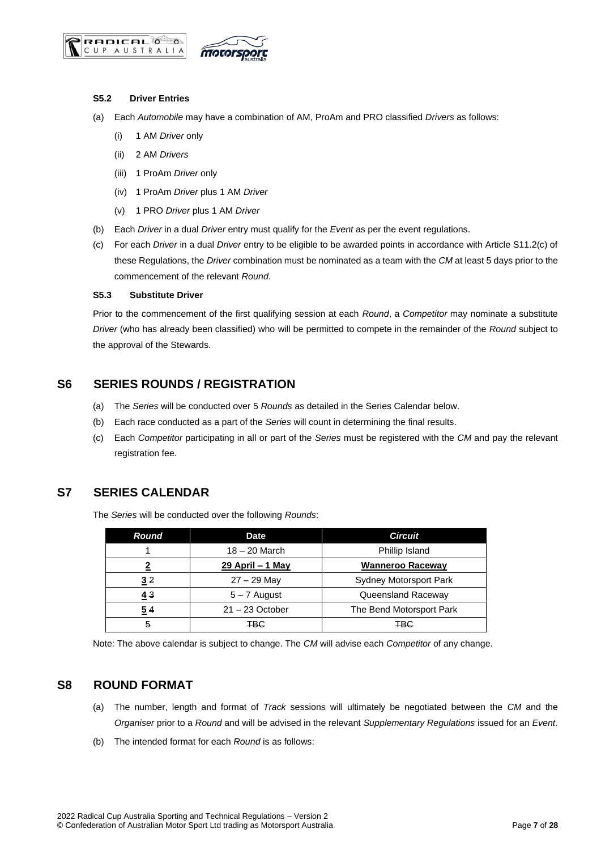



#### <span id="page-6-0"></span>**S5.2 Driver Entries**

- (a) Each *Automobile* may have a combination of AM, ProAm and PRO classified *Drivers* as follows:
	- (i) 1 AM *Driver* only
	- (ii) 2 AM *Drivers*
	- (iii) 1 ProAm *Driver* only
	- (iv) 1 ProAm *Driver* plus 1 AM *Driver*
	- (v) 1 PRO *Driver* plus 1 AM *Driver*
- (b) Each *Driver* in a dual *Driver* entry must qualify for the *Event* as per the event regulations.
- (c) For each *Driver* in a dual *Driver* entry to be eligible to be awarded points in accordance with Article S11.2(c) of these Regulations, the *Driver* combination must be nominated as a team with the *CM* at least 5 days prior to the commencement of the relevant *Round*.

#### <span id="page-6-1"></span>**S5.3 Substitute Driver**

Prior to the commencement of the first qualifying session at each *Round*, a *Competitor* may nominate a substitute *Driver* (who has already been classified) who will be permitted to compete in the remainder of the *Round* subject to the approval of the Stewards.

## <span id="page-6-2"></span>**S6 SERIES ROUNDS / REGISTRATION**

- (a) The *Series* will be conducted over 5 *Rounds* as detailed in the Series Calendar below.
- (b) Each race conducted as a part of the *Series* will count in determining the final results.
- (c) Each *Competitor* participating in all or part of the *Series* must be registered with the *CM* and pay the relevant registration fee.

## <span id="page-6-3"></span>**S7 SERIES CALENDAR**

The *Series* will be conducted over the following *Rounds*:

| Round | <b>Date</b>              | <b>Circuit</b>                |
|-------|--------------------------|-------------------------------|
|       | $18 - 20$ March          | Phillip Island                |
| າ     | <u> 29 April – 1 May</u> | <b>Wanneroo Raceway</b>       |
| 32    | $27 - 29$ May            | <b>Sydney Motorsport Park</b> |
| 43    | $5 - 7$ August           | Queensland Raceway            |
| 54    | $21 - 23$ October        | The Bend Motorsport Park      |
| 5     | <b>TBG</b>               | <b>TBG</b>                    |

Note: The above calendar is subject to change. The *CM* will advise each *Competitor* of any change.

## <span id="page-6-4"></span>**S8 ROUND FORMAT**

- (a) The number, length and format of *Track* sessions will ultimately be negotiated between the *CM* and the *Organiser* prior to a *Round* and will be advised in the relevant *Supplementary Regulations* issued for an *Event*.
- (b) The intended format for each *Round* is as follows: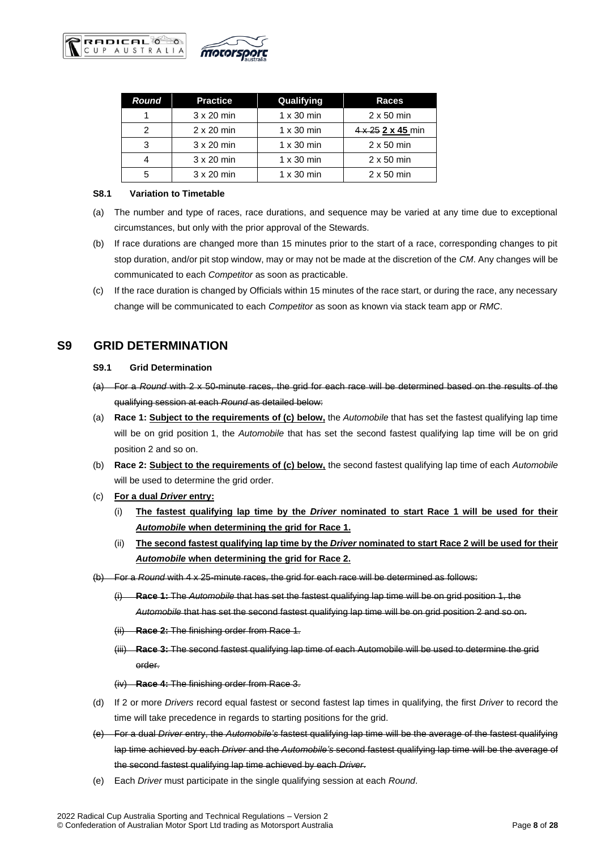

| <b>Round</b> | <b>Practice</b>   | Qualifying        | Races             |
|--------------|-------------------|-------------------|-------------------|
|              | $3 \times 20$ min | $1 \times 30$ min | $2 \times 50$ min |
| 2            | $2 \times 20$ min | $1 \times 30$ min | 4 x 25 2 x 45 min |
|              | $3 \times 20$ min | $1 \times 30$ min | $2 \times 50$ min |
|              | $3 \times 20$ min | $1 \times 30$ min | $2 \times 50$ min |
| 5            | $3 \times 20$ min | $1 \times 30$ min | $2 \times 50$ min |

#### <span id="page-7-0"></span>**S8.1 Variation to Timetable**

- (a) The number and type of races, race durations, and sequence may be varied at any time due to exceptional circumstances, but only with the prior approval of the Stewards.
- (b) If race durations are changed more than 15 minutes prior to the start of a race, corresponding changes to pit stop duration, and/or pit stop window, may or may not be made at the discretion of the *CM*. Any changes will be communicated to each *Competitor* as soon as practicable.
- (c) If the race duration is changed by Officials within 15 minutes of the race start, or during the race, any necessary change will be communicated to each *Competitor* as soon as known via stack team app or *RMC*.

## <span id="page-7-2"></span><span id="page-7-1"></span>**S9 GRID DETERMINATION**

#### **S9.1 Grid Determination**

- (a) For a *Round* with 2 x 50-minute races, the grid for each race will be determined based on the results of the qualifying session at each *Round* as detailed below:
- (a) **Race 1: Subject to the requirements of (c) below,** the *Automobile* that has set the fastest qualifying lap time will be on grid position 1, the *Automobile* that has set the second fastest qualifying lap time will be on grid position 2 and so on.
- (b) **Race 2: Subject to the requirements of (c) below,** the second fastest qualifying lap time of each *Automobile* will be used to determine the grid order.
- (c) **For a dual** *Driver* **entry:**
	- (i) **The fastest qualifying lap time by the** *Driver* **nominated to start Race 1 will be used for their**  *Automobile* **when determining the grid for Race 1.**
	- (ii) **The second fastest qualifying lap time by the** *Driver* **nominated to start Race 2 will be used for their**  *Automobile* **when determining the grid for Race 2.**
- (b) For a *Round* with 4 x 25-minute races, the grid for each race will be determined as follows:
	- (i) **Race 1:** The *Automobile* that has set the fastest qualifying lap time will be on grid position 1, the *Automobile* that has set the second fastest qualifying lap time will be on grid position 2 and so on.
	- (ii) **Race 2:** The finishing order from Race 1.
	- (iii) **Race 3:** The second fastest qualifying lap time of each Automobile will be used to determine the grid order.

#### (iv) **Race 4:** The finishing order from Race 3.

- (d) If 2 or more *Drivers* record equal fastest or second fastest lap times in qualifying, the first *Driver* to record the time will take precedence in regards to starting positions for the grid.
- (e) For a dual *Driver* entry, the *Automobile's* fastest qualifying lap time will be the average of the fastest qualifying lap time achieved by each *Driver* and the *Automobile's* second fastest qualifying lap time will be the average of the second fastest qualifying lap time achieved by each *Driver*.
- (e) Each *Driver* must participate in the single qualifying session at each *Round*.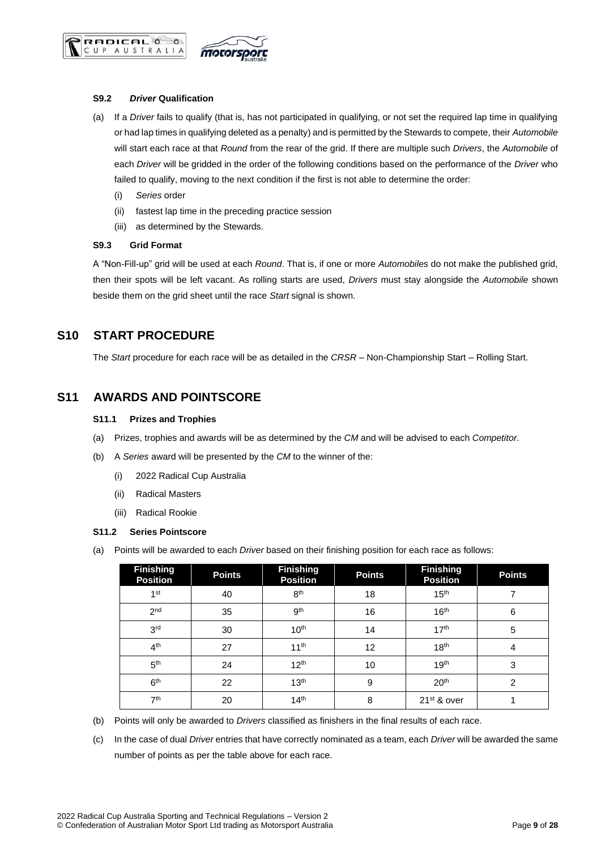

#### <span id="page-8-0"></span>**S9.2** *Driver* **Qualification**

**RADICAL** CUP AUSTRALIA

- (a) If a *Driver* fails to qualify (that is, has not participated in qualifying, or not set the required lap time in qualifying or had lap times in qualifying deleted as a penalty) and is permitted by the Stewards to compete, their *Automobile* will start each race at that *Round* from the rear of the grid. If there are multiple such *Drivers*, the *Automobile* of each *Driver* will be gridded in the order of the following conditions based on the performance of the *Driver* who failed to qualify, moving to the next condition if the first is not able to determine the order:
	- (i) *Series* order
	- (ii) fastest lap time in the preceding practice session
	- (iii) as determined by the Stewards.

#### <span id="page-8-1"></span>**S9.3 Grid Format**

A "Non-Fill-up" grid will be used at each *Round*. That is, if one or more *Automobiles* do not make the published grid, then their spots will be left vacant. As rolling starts are used, *Drivers* must stay alongside the *Automobile* shown beside them on the grid sheet until the race *Start* signal is shown.

## <span id="page-8-2"></span>**S10 START PROCEDURE**

The *Start* procedure for each race will be as detailed in the *CRSR* – Non-Championship Start – Rolling Start.

## <span id="page-8-4"></span><span id="page-8-3"></span>**S11 AWARDS AND POINTSCORE**

#### **S11.1 Prizes and Trophies**

- (a) Prizes, trophies and awards will be as determined by the *CM* and will be advised to each *Competitor*.
- (b) A *Series* award will be presented by the *CM* to the winner of the:
	- (i) 2022 Radical Cup Australia
	- (ii) Radical Masters
	- (iii) Radical Rookie

#### <span id="page-8-5"></span>**S11.2 Series Pointscore**

(a) Points will be awarded to each *Driver* based on their finishing position for each race as follows:

| <b>Finishing</b><br><b>Position</b> | <b>Points</b> | <b>Finishing</b><br><b>Position</b> | <b>Points</b> | <b>Finishing</b><br><b>Position</b> | <b>Points</b> |
|-------------------------------------|---------------|-------------------------------------|---------------|-------------------------------------|---------------|
| 1 <sup>st</sup>                     | 40            | 8 <sup>th</sup>                     | 18            | 15 <sup>th</sup>                    |               |
| 2 <sub>nd</sub>                     | 35            | 9 <sup>th</sup>                     | 16            | 16 <sup>th</sup>                    | 6             |
| 3 <sup>rd</sup>                     | 30            | 10 <sup>th</sup>                    | 14            | 17 <sup>th</sup>                    | 5             |
| 4 <sup>th</sup>                     | 27            | 11 <sup>th</sup>                    | 12            | 18 <sup>th</sup>                    | 4             |
| 5 <sup>th</sup>                     | 24            | 12 <sup>th</sup>                    | 10            | 19 <sup>th</sup>                    | 3             |
| 6 <sup>th</sup>                     | 22            | 13 <sup>th</sup>                    | 9             | 20 <sup>th</sup>                    | 2             |
| 7 <sup>th</sup>                     | 20            | 14 <sup>th</sup>                    | 8             | 21 <sup>st</sup> & over             |               |

- (b) Points will only be awarded to *Drivers* classified as finishers in the final results of each race.
- (c) In the case of dual *Driver* entries that have correctly nominated as a team, each *Driver* will be awarded the same number of points as per the table above for each race.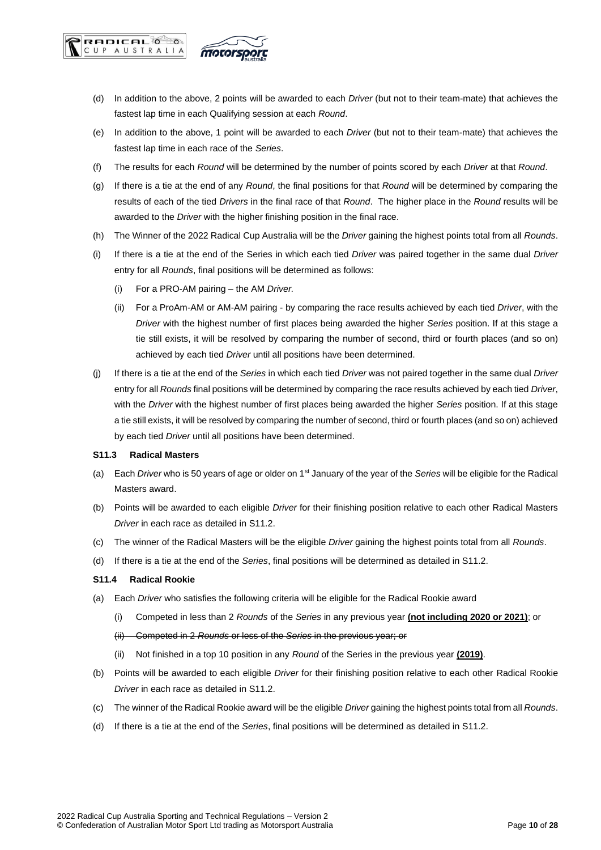

- (d) In addition to the above, 2 points will be awarded to each *Driver* (but not to their team-mate) that achieves the fastest lap time in each Qualifying session at each *Round*.
- (e) In addition to the above, 1 point will be awarded to each *Driver* (but not to their team-mate) that achieves the fastest lap time in each race of the *Series*.
- (f) The results for each *Round* will be determined by the number of points scored by each *Driver* at that *Round*.
- (g) If there is a tie at the end of any *Round*, the final positions for that *Round* will be determined by comparing the results of each of the tied *Drivers* in the final race of that *Round*. The higher place in the *Round* results will be awarded to the *Driver* with the higher finishing position in the final race.
- (h) The Winner of the 2022 Radical Cup Australia will be the *Driver* gaining the highest points total from all *Rounds*.
- (i) If there is a tie at the end of the Series in which each tied *Driver* was paired together in the same dual *Driver* entry for all *Rounds*, final positions will be determined as follows:
	- (i) For a PRO-AM pairing the AM *Driver.*
	- (ii) For a ProAm-AM or AM-AM pairing by comparing the race results achieved by each tied *Driver*, with the *Driver* with the highest number of first places being awarded the higher *Series* position. If at this stage a tie still exists, it will be resolved by comparing the number of second, third or fourth places (and so on) achieved by each tied *Driver* until all positions have been determined.
- (j) If there is a tie at the end of the *Series* in which each tied *Driver* was not paired together in the same dual *Driver* entry for all *Rounds* final positions will be determined by comparing the race results achieved by each tied *Driver*, with the *Driver* with the highest number of first places being awarded the higher *Series* position. If at this stage a tie still exists, it will be resolved by comparing the number of second, third or fourth places (and so on) achieved by each tied *Driver* until all positions have been determined.

#### <span id="page-9-0"></span>**S11.3 Radical Masters**

**RADICAL** CUP AUSTRALIA

- (a) Each *Driver* who is 50 years of age or older on 1st January of the year of the *Series* will be eligible for the Radical Masters award.
- (b) Points will be awarded to each eligible *Driver* for their finishing position relative to each other Radical Masters *Driver* in each race as detailed in S11.2.
- (c) The winner of the Radical Masters will be the eligible *Driver* gaining the highest points total from all *Rounds*.
- (d) If there is a tie at the end of the *Series*, final positions will be determined as detailed in S11.2.

#### <span id="page-9-1"></span>**S11.4 Radical Rookie**

- (a) Each *Driver* who satisfies the following criteria will be eligible for the Radical Rookie award
	- (i) Competed in less than 2 *Rounds* of the *Series* in any previous year **(not including 2020 or 2021)**; or
	- (ii) Competed in 2 *Rounds* or less of the *Series* in the previous year; or
	- (ii) Not finished in a top 10 position in any *Round* of the Series in the previous year **(2019)**.
- (b) Points will be awarded to each eligible *Driver* for their finishing position relative to each other Radical Rookie *Driver* in each race as detailed in S11.2.
- (c) The winner of the Radical Rookie award will be the eligible *Driver* gaining the highest points total from all *Rounds*.
- (d) If there is a tie at the end of the *Series*, final positions will be determined as detailed in S11.2.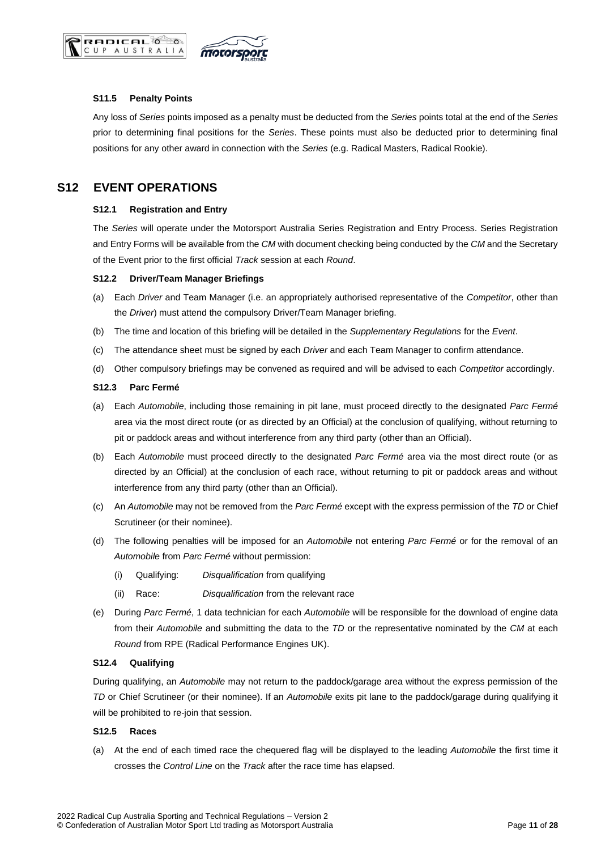



#### <span id="page-10-0"></span>**S11.5 Penalty Points**

Any loss of *Series* points imposed as a penalty must be deducted from the *Series* points total at the end of the *Series* prior to determining final positions for the *Series*. These points must also be deducted prior to determining final positions for any other award in connection with the *Series* (e.g. Radical Masters, Radical Rookie).

## <span id="page-10-2"></span><span id="page-10-1"></span>**S12 EVENT OPERATIONS**

#### **S12.1 Registration and Entry**

The *Series* will operate under the Motorsport Australia Series Registration and Entry Process. Series Registration and Entry Forms will be available from the *CM* with document checking being conducted by the *CM* and the Secretary of the Event prior to the first official *Track* session at each *Round*.

#### <span id="page-10-3"></span>**S12.2 Driver/Team Manager Briefings**

- (a) Each *Driver* and Team Manager (i.e. an appropriately authorised representative of the *Competitor*, other than the *Driver*) must attend the compulsory Driver/Team Manager briefing.
- (b) The time and location of this briefing will be detailed in the *Supplementary Regulations* for the *Event*.
- (c) The attendance sheet must be signed by each *Driver* and each Team Manager to confirm attendance.
- (d) Other compulsory briefings may be convened as required and will be advised to each *Competitor* accordingly.

#### <span id="page-10-4"></span>**S12.3 Parc Fermé**

- (a) Each *Automobile*, including those remaining in pit lane, must proceed directly to the designated *Parc Fermé* area via the most direct route (or as directed by an Official) at the conclusion of qualifying, without returning to pit or paddock areas and without interference from any third party (other than an Official).
- (b) Each *Automobile* must proceed directly to the designated *Parc Fermé* area via the most direct route (or as directed by an Official) at the conclusion of each race, without returning to pit or paddock areas and without interference from any third party (other than an Official).
- (c) An *Automobile* may not be removed from the *Parc Fermé* except with the express permission of the *TD* or Chief Scrutineer (or their nominee).
- (d) The following penalties will be imposed for an *Automobile* not entering *Parc Fermé* or for the removal of an *Automobile* from *Parc Fermé* without permission:
	- (i) Qualifying: *Disqualification* from qualifying
	- (ii) Race: *Disqualification* from the relevant race
- (e) During *Parc Fermé*, 1 data technician for each *Automobile* will be responsible for the download of engine data from their *Automobile* and submitting the data to the *TD* or the representative nominated by the *CM* at each *Round* from RPE (Radical Performance Engines UK).

#### <span id="page-10-5"></span>**S12.4 Qualifying**

During qualifying, an *Automobile* may not return to the paddock/garage area without the express permission of the *TD* or Chief Scrutineer (or their nominee). If an *Automobile* exits pit lane to the paddock/garage during qualifying it will be prohibited to re-join that session.

#### <span id="page-10-6"></span>**S12.5 Races**

(a) At the end of each timed race the chequered flag will be displayed to the leading *Automobile* the first time it crosses the *Control Line* on the *Track* after the race time has elapsed.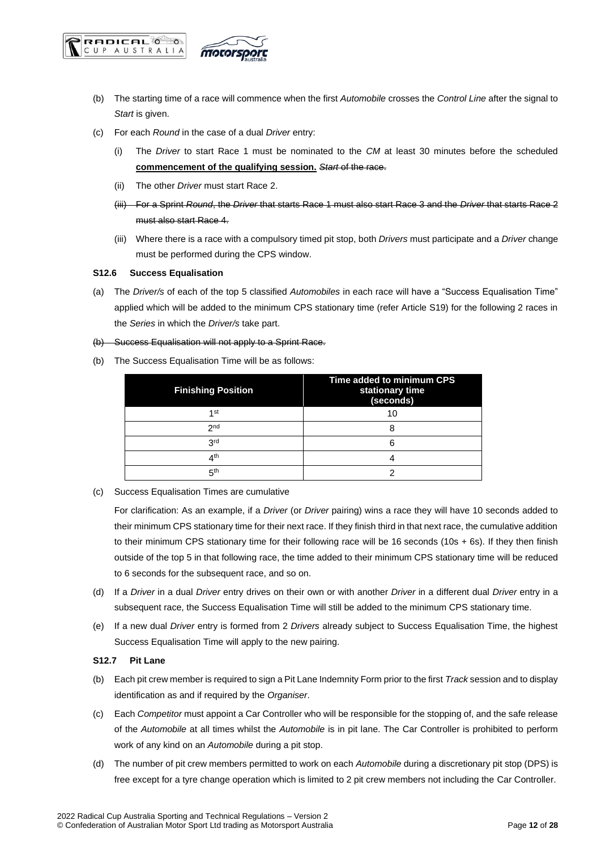



- (b) The starting time of a race will commence when the first *Automobile* crosses the *Control Line* after the signal to *Start* is given.
- (c) For each *Round* in the case of a dual *Driver* entry:
	- (i) The *Driver* to start Race 1 must be nominated to the *CM* at least 30 minutes before the scheduled **commencement of the qualifying session.** *Start* of the race.
	- (ii) The other *Driver* must start Race 2.
	- (iii) For a Sprint *Round*, the *Driver* that starts Race 1 must also start Race 3 and the *Driver* that starts Race 2 must also start Race 4.
	- (iii) Where there is a race with a compulsory timed pit stop, both *Drivers* must participate and a *Driver* change must be performed during the CPS window.

#### <span id="page-11-0"></span>**S12.6 Success Equalisation**

(a) The *Driver/s* of each of the top 5 classified *Automobiles* in each race will have a "Success Equalisation Time" applied which will be added to the minimum CPS stationary time (refer Article S19) for the following 2 races in the *Series* in which the *Driver/s* take part.

#### (b) Success Equalisation will not apply to a Sprint Race.

(b) The Success Equalisation Time will be as follows:

| <b>Finishing Position</b> | Time added to minimum CPS<br>stationary time<br>(seconds) |
|---------------------------|-----------------------------------------------------------|
| 1st                       | 10                                                        |
| 2 <sub>nd</sub>           |                                                           |
| 3rd                       |                                                           |
| ⊿th                       |                                                           |
| цφ                        |                                                           |

(c) Success Equalisation Times are cumulative

For clarification: As an example, if a *Driver* (or *Driver* pairing) wins a race they will have 10 seconds added to their minimum CPS stationary time for their next race. If they finish third in that next race, the cumulative addition to their minimum CPS stationary time for their following race will be 16 seconds (10s + 6s). If they then finish outside of the top 5 in that following race, the time added to their minimum CPS stationary time will be reduced to 6 seconds for the subsequent race, and so on.

- (d) If a *Driver* in a dual *Driver* entry drives on their own or with another *Driver* in a different dual *Driver* entry in a subsequent race, the Success Equalisation Time will still be added to the minimum CPS stationary time.
- (e) If a new dual *Driver* entry is formed from 2 *Drivers* already subject to Success Equalisation Time, the highest Success Equalisation Time will apply to the new pairing.

#### <span id="page-11-1"></span>**S12.7 Pit Lane**

- (b) Each pit crew member is required to sign a Pit Lane Indemnity Form prior to the first *Track* session and to display identification as and if required by the *Organiser*.
- (c) Each *Competitor* must appoint a Car Controller who will be responsible for the stopping of, and the safe release of the *Automobile* at all times whilst the *Automobile* is in pit lane. The Car Controller is prohibited to perform work of any kind on an *Automobile* during a pit stop.
- (d) The number of pit crew members permitted to work on each *Automobile* during a discretionary pit stop (DPS) is free except for a tyre change operation which is limited to 2 pit crew members not including the Car Controller.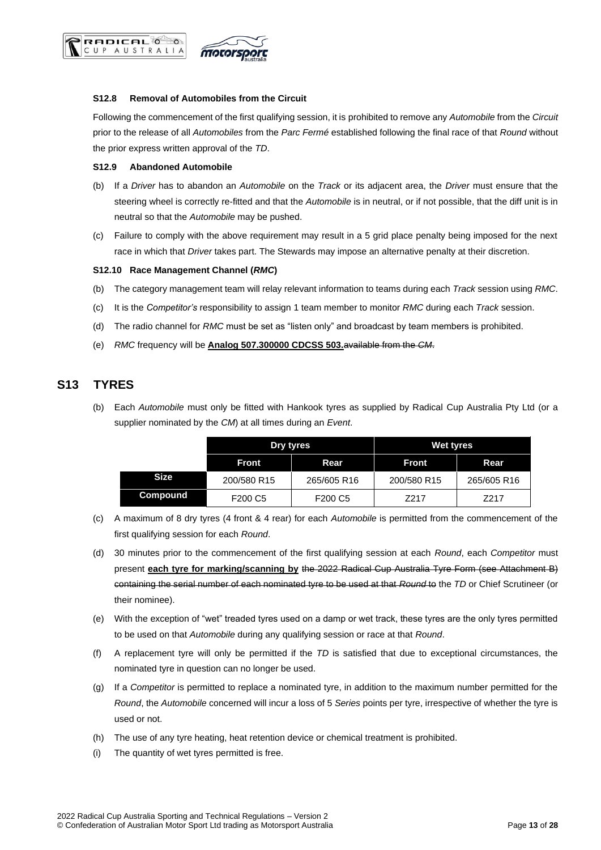

#### <span id="page-12-0"></span>**S12.8 Removal of Automobiles from the Circuit**

Following the commencement of the first qualifying session, it is prohibited to remove any *Automobile* from the *Circuit* prior to the release of all *Automobiles* from the *Parc Fermé* established following the final race of that *Round* without the prior express written approval of the *TD*.

#### <span id="page-12-1"></span>**S12.9 Abandoned Automobile**

**RADICAL** CUP AUSTRALIA

- (b) If a *Driver* has to abandon an *Automobile* on the *Track* or its adjacent area, the *Driver* must ensure that the steering wheel is correctly re-fitted and that the *Automobile* is in neutral, or if not possible, that the diff unit is in neutral so that the *Automobile* may be pushed.
- (c) Failure to comply with the above requirement may result in a 5 grid place penalty being imposed for the next race in which that *Driver* takes part. The Stewards may impose an alternative penalty at their discretion.

#### <span id="page-12-2"></span>**S12.10 Race Management Channel (***RMC***)**

- (b) The category management team will relay relevant information to teams during each *Track* session using *RMC*.
- (c) It is the *Competitor's* responsibility to assign 1 team member to monitor *RMC* during each *Track* session.
- (d) The radio channel for *RMC* must be set as "listen only" and broadcast by team members is prohibited.
- (e) *RMC* frequency will be **Analog 507.300000 CDCSS 503.**available from the *CM*.

### <span id="page-12-3"></span>**S13 TYRES**

(b) Each *Automobile* must only be fitted with Hankook tyres as supplied by Radical Cup Australia Pty Ltd (or a supplier nominated by the *CM*) at all times during an *Event*.

|             | Dry tyres                       |                                 | Wet tyres    |             |
|-------------|---------------------------------|---------------------------------|--------------|-------------|
|             | Rear<br><b>Front</b>            |                                 | <b>Front</b> | Rear        |
| <b>Size</b> | 200/580 R15                     | 265/605 R16                     | 200/580 R15  | 265/605 R16 |
| Compound    | F <sub>200</sub> C <sub>5</sub> | F <sub>200</sub> C <sub>5</sub> | Z217         | Z217        |

- (c) A maximum of 8 dry tyres (4 front & 4 rear) for each *Automobile* is permitted from the commencement of the first qualifying session for each *Round*.
- (d) 30 minutes prior to the commencement of the first qualifying session at each *Round*, each *Competitor* must present **each tyre for marking/scanning by** the 2022 Radical Cup Australia Tyre Form (see Attachment B) containing the serial number of each nominated tyre to be used at that *Round* to the *TD* or Chief Scrutineer (or their nominee).
- (e) With the exception of "wet" treaded tyres used on a damp or wet track, these tyres are the only tyres permitted to be used on that *Automobile* during any qualifying session or race at that *Round*.
- (f) A replacement tyre will only be permitted if the *TD* is satisfied that due to exceptional circumstances, the nominated tyre in question can no longer be used.
- (g) If a *Competitor* is permitted to replace a nominated tyre, in addition to the maximum number permitted for the *Round*, the *Automobile* concerned will incur a loss of 5 *Series* points per tyre, irrespective of whether the tyre is used or not.
- (h) The use of any tyre heating, heat retention device or chemical treatment is prohibited.
- (i) The quantity of wet tyres permitted is free.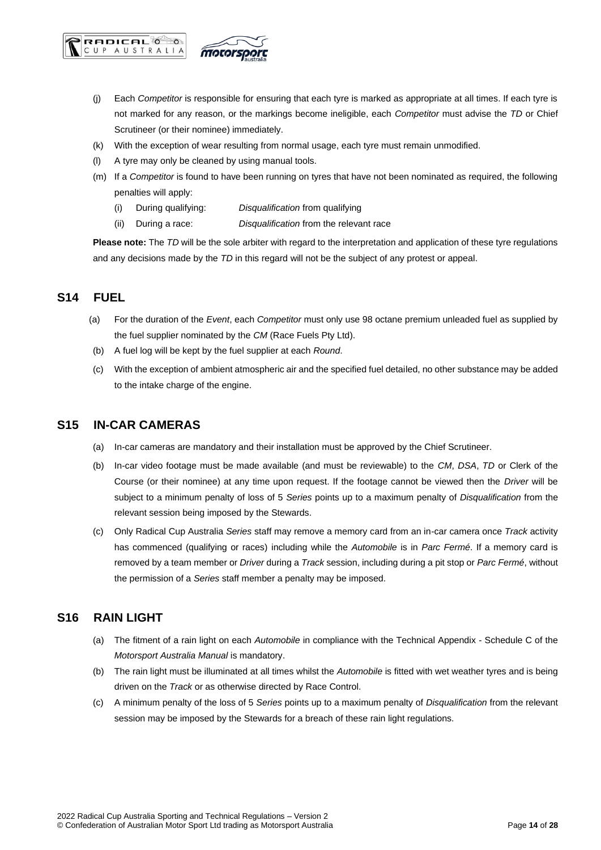

- (j) Each *Competitor* is responsible for ensuring that each tyre is marked as appropriate at all times. If each tyre is not marked for any reason, or the markings become ineligible, each *Competitor* must advise the *TD* or Chief Scrutineer (or their nominee) immediately.
- (k) With the exception of wear resulting from normal usage, each tyre must remain unmodified.
- (l) A tyre may only be cleaned by using manual tools.
- (m) If a *Competitor* is found to have been running on tyres that have not been nominated as required, the following penalties will apply:
	- (i) During qualifying: *Disqualification* from qualifying
	- (ii) During a race: *Disqualification* from the relevant race

**Please note:** The *TD* will be the sole arbiter with regard to the interpretation and application of these tyre regulations and any decisions made by the *TD* in this regard will not be the subject of any protest or appeal.

### <span id="page-13-0"></span>**S14 FUEL**

- (a) For the duration of the *Event*, each *Competitor* must only use 98 octane premium unleaded fuel as supplied by the fuel supplier nominated by the *CM* (Race Fuels Pty Ltd).
- (b) A fuel log will be kept by the fuel supplier at each *Round*.
- (c) With the exception of ambient atmospheric air and the specified fuel detailed, no other substance may be added to the intake charge of the engine.

### <span id="page-13-1"></span>**S15 IN-CAR CAMERAS**

- (a) In-car cameras are mandatory and their installation must be approved by the Chief Scrutineer.
- (b) In-car video footage must be made available (and must be reviewable) to the *CM*, *DSA*, *TD* or Clerk of the Course (or their nominee) at any time upon request. If the footage cannot be viewed then the *Driver* will be subject to a minimum penalty of loss of 5 *Series* points up to a maximum penalty of *Disqualification* from the relevant session being imposed by the Stewards.
- (c) Only Radical Cup Australia *Series* staff may remove a memory card from an in-car camera once *Track* activity has commenced (qualifying or races) including while the *Automobile* is in *Parc Fermé*. If a memory card is removed by a team member or *Driver* during a *Track* session, including during a pit stop or *Parc Fermé*, without the permission of a *Series* staff member a penalty may be imposed.

### <span id="page-13-2"></span>**S16 RAIN LIGHT**

- (a) The fitment of a rain light on each *Automobile* in compliance with the Technical Appendix Schedule C of the *Motorsport Australia Manual* is mandatory.
- (b) The rain light must be illuminated at all times whilst the *Automobile* is fitted with wet weather tyres and is being driven on the *Track* or as otherwise directed by Race Control.
- (c) A minimum penalty of the loss of 5 *Series* points up to a maximum penalty of *Disqualification* from the relevant session may be imposed by the Stewards for a breach of these rain light regulations.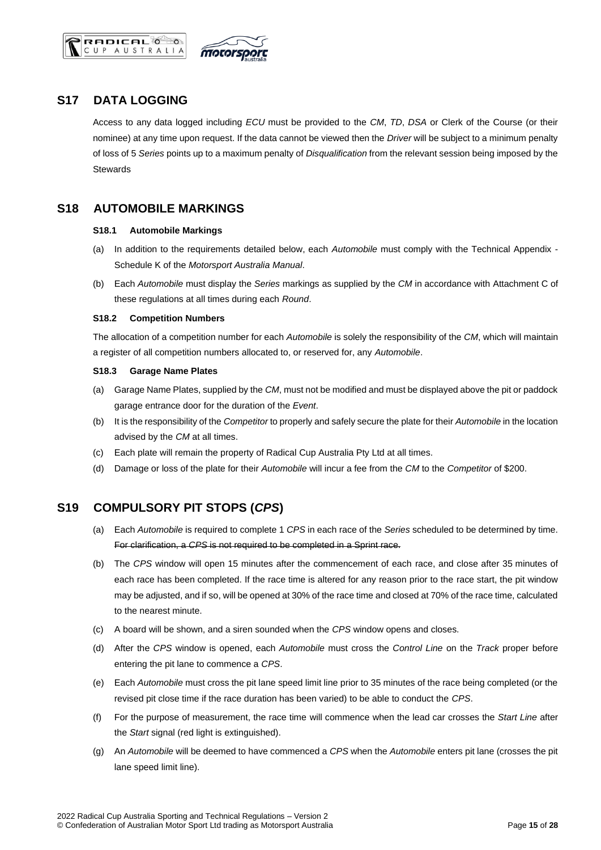



## <span id="page-14-0"></span>**S17 DATA LOGGING**

Access to any data logged including *ECU* must be provided to the *CM*, *TD*, *DSA* or Clerk of the Course (or their nominee) at any time upon request. If the data cannot be viewed then the *Driver* will be subject to a minimum penalty of loss of 5 *Series* points up to a maximum penalty of *Disqualification* from the relevant session being imposed by the **Stewards** 

## <span id="page-14-2"></span><span id="page-14-1"></span>**S18 AUTOMOBILE MARKINGS**

#### **S18.1 Automobile Markings**

- (a) In addition to the requirements detailed below, each *Automobile* must comply with the Technical Appendix Schedule K of the *Motorsport Australia Manual*.
- (b) Each *Automobile* must display the *Series* markings as supplied by the *CM* in accordance with Attachment C of these regulations at all times during each *Round*.

#### <span id="page-14-3"></span>**S18.2 Competition Numbers**

The allocation of a competition number for each *Automobile* is solely the responsibility of the *CM*, which will maintain a register of all competition numbers allocated to, or reserved for, any *Automobile*.

#### <span id="page-14-4"></span>**S18.3 Garage Name Plates**

- (a) Garage Name Plates, supplied by the *CM*, must not be modified and must be displayed above the pit or paddock garage entrance door for the duration of the *Event*.
- (b) It is the responsibility of the *Competitor* to properly and safely secure the plate for their *Automobile* in the location advised by the *CM* at all times.
- (c) Each plate will remain the property of Radical Cup Australia Pty Ltd at all times.
- (d) Damage or loss of the plate for their *Automobile* will incur a fee from the *CM* to the *Competitor* of \$200.

## <span id="page-14-5"></span>**S19 COMPULSORY PIT STOPS (***CPS***)**

- (a) Each *Automobile* is required to complete 1 *CPS* in each race of the *Series* scheduled to be determined by time. For clarification, a *CPS* is not required to be completed in a Sprint race.
- (b) The *CPS* window will open 15 minutes after the commencement of each race, and close after 35 minutes of each race has been completed. If the race time is altered for any reason prior to the race start, the pit window may be adjusted, and if so, will be opened at 30% of the race time and closed at 70% of the race time, calculated to the nearest minute.
- (c) A board will be shown, and a siren sounded when the *CPS* window opens and closes.
- (d) After the *CPS* window is opened, each *Automobile* must cross the *Control Line* on the *Track* proper before entering the pit lane to commence a *CPS*.
- (e) Each *Automobile* must cross the pit lane speed limit line prior to 35 minutes of the race being completed (or the revised pit close time if the race duration has been varied) to be able to conduct the *CPS*.
- (f) For the purpose of measurement, the race time will commence when the lead car crosses the *Start Line* after the *Start* signal (red light is extinguished).
- (g) An *Automobile* will be deemed to have commenced a *CPS* when the *Automobile* enters pit lane (crosses the pit lane speed limit line).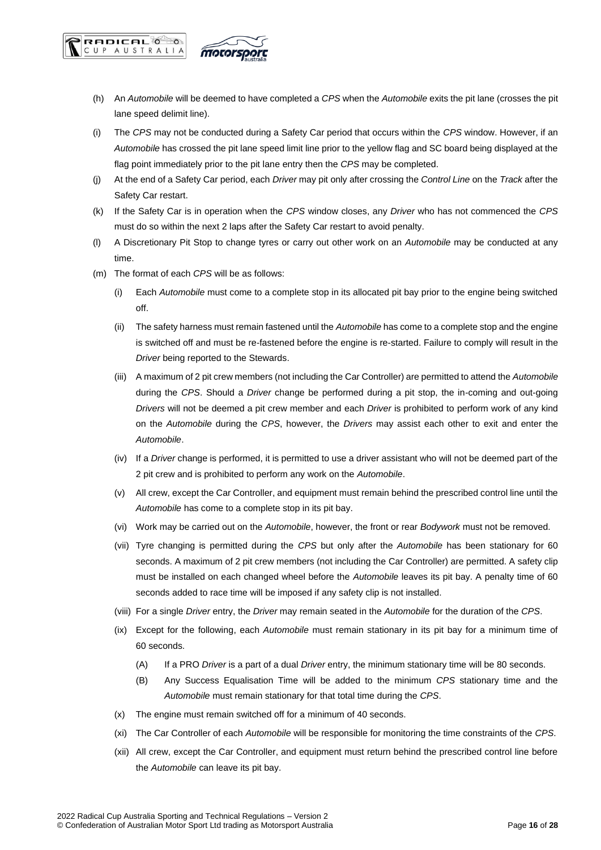

**RADICAL** CUP AUSTRALIA

- (h) An *Automobile* will be deemed to have completed a *CPS* when the *Automobile* exits the pit lane (crosses the pit lane speed delimit line).
- (i) The *CPS* may not be conducted during a Safety Car period that occurs within the *CPS* window. However, if an *Automobile* has crossed the pit lane speed limit line prior to the yellow flag and SC board being displayed at the flag point immediately prior to the pit lane entry then the *CPS* may be completed.
- (j) At the end of a Safety Car period, each *Driver* may pit only after crossing the *Control Line* on the *Track* after the Safety Car restart.
- (k) If the Safety Car is in operation when the *CPS* window closes, any *Driver* who has not commenced the *CPS* must do so within the next 2 laps after the Safety Car restart to avoid penalty.
- (l) A Discretionary Pit Stop to change tyres or carry out other work on an *Automobile* may be conducted at any time.
- (m) The format of each *CPS* will be as follows:
	- (i) Each *Automobile* must come to a complete stop in its allocated pit bay prior to the engine being switched off.
	- (ii) The safety harness must remain fastened until the *Automobile* has come to a complete stop and the engine is switched off and must be re-fastened before the engine is re-started. Failure to comply will result in the *Driver* being reported to the Stewards.
	- (iii) A maximum of 2 pit crew members (not including the Car Controller) are permitted to attend the *Automobile* during the *CPS*. Should a *Driver* change be performed during a pit stop, the in-coming and out-going *Drivers* will not be deemed a pit crew member and each *Driver* is prohibited to perform work of any kind on the *Automobile* during the *CPS*, however, the *Drivers* may assist each other to exit and enter the *Automobile*.
	- (iv) If a *Driver* change is performed, it is permitted to use a driver assistant who will not be deemed part of the 2 pit crew and is prohibited to perform any work on the *Automobile*.
	- (v) All crew, except the Car Controller, and equipment must remain behind the prescribed control line until the *Automobile* has come to a complete stop in its pit bay.
	- (vi) Work may be carried out on the *Automobile*, however, the front or rear *Bodywork* must not be removed.
	- (vii) Tyre changing is permitted during the *CPS* but only after the *Automobile* has been stationary for 60 seconds. A maximum of 2 pit crew members (not including the Car Controller) are permitted. A safety clip must be installed on each changed wheel before the *Automobile* leaves its pit bay. A penalty time of 60 seconds added to race time will be imposed if any safety clip is not installed.
	- (viii) For a single *Driver* entry, the *Driver* may remain seated in the *Automobile* for the duration of the *CPS*.
	- (ix) Except for the following, each *Automobile* must remain stationary in its pit bay for a minimum time of 60 seconds.
		- (A) If a PRO *Driver* is a part of a dual *Driver* entry, the minimum stationary time will be 80 seconds.
		- (B) Any Success Equalisation Time will be added to the minimum *CPS* stationary time and the *Automobile* must remain stationary for that total time during the *CPS*.
	- (x) The engine must remain switched off for a minimum of 40 seconds.
	- (xi) The Car Controller of each *Automobile* will be responsible for monitoring the time constraints of the *CPS*.
	- (xii) All crew, except the Car Controller, and equipment must return behind the prescribed control line before the *Automobile* can leave its pit bay.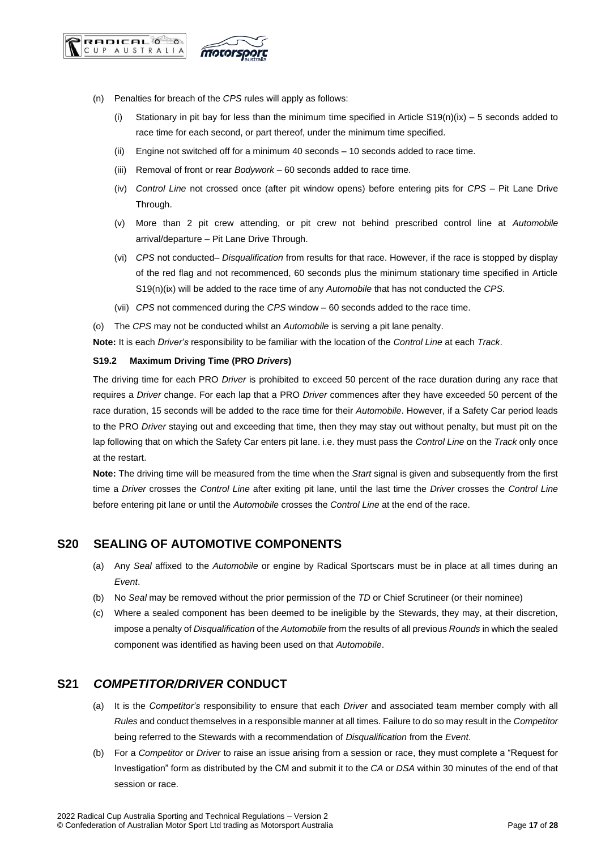



- (n) Penalties for breach of the *CPS* rules will apply as follows:
	- (i) Stationary in pit bay for less than the minimum time specified in Article  $S19(n)(ix) 5$  seconds added to race time for each second, or part thereof, under the minimum time specified.
	- (ii) Engine not switched off for a minimum 40 seconds 10 seconds added to race time.
	- (iii) Removal of front or rear *Bodywork* 60 seconds added to race time.
	- (iv) *Control Line* not crossed once (after pit window opens) before entering pits for *CPS* Pit Lane Drive Through.
	- (v) More than 2 pit crew attending, or pit crew not behind prescribed control line at *Automobile* arrival/departure – Pit Lane Drive Through.
	- (vi) *CPS* not conducted– *Disqualification* from results for that race. However, if the race is stopped by display of the red flag and not recommenced, 60 seconds plus the minimum stationary time specified in Article S19(n)(ix) will be added to the race time of any *Automobile* that has not conducted the *CPS*.
	- (vii) *CPS* not commenced during the *CPS* window 60 seconds added to the race time.
- (o) The *CPS* may not be conducted whilst an *Automobile* is serving a pit lane penalty.

**Note:** It is each *Driver's* responsibility to be familiar with the location of the *Control Line* at each *Track*.

#### <span id="page-16-0"></span>**S19.2 Maximum Driving Time (PRO** *Drivers***)**

The driving time for each PRO *Driver* is prohibited to exceed 50 percent of the race duration during any race that requires a *Driver* change. For each lap that a PRO *Driver* commences after they have exceeded 50 percent of the race duration, 15 seconds will be added to the race time for their *Automobile*. However, if a Safety Car period leads to the PRO *Driver* staying out and exceeding that time, then they may stay out without penalty, but must pit on the lap following that on which the Safety Car enters pit lane. i.e. they must pass the *Control Line* on the *Track* only once at the restart.

**Note:** The driving time will be measured from the time when the *Start* signal is given and subsequently from the first time a *Driver* crosses the *Control Line* after exiting pit lane, until the last time the *Driver* crosses the *Control Line* before entering pit lane or until the *Automobile* crosses the *Control Line* at the end of the race.

## <span id="page-16-1"></span>**S20 SEALING OF AUTOMOTIVE COMPONENTS**

- (a) Any *Seal* affixed to the *Automobile* or engine by Radical Sportscars must be in place at all times during an *Event*.
- (b) No *Seal* may be removed without the prior permission of the *TD* or Chief Scrutineer (or their nominee)
- (c) Where a sealed component has been deemed to be ineligible by the Stewards, they may, at their discretion, impose a penalty of *Disqualification* of the *Automobile* from the results of all previous *Rounds* in which the sealed component was identified as having been used on that *Automobile*.

## <span id="page-16-2"></span>**S21** *COMPETITOR/DRIVER* **CONDUCT**

- (a) It is the *Competitor's* responsibility to ensure that each *Driver* and associated team member comply with all *Rules* and conduct themselves in a responsible manner at all times. Failure to do so may result in the *Competitor* being referred to the Stewards with a recommendation of *Disqualification* from the *Event*.
- (b) For a *Competitor* or *Driver* to raise an issue arising from a session or race, they must complete a "Request for Investigation" form as distributed by the CM and submit it to the *CA* or *DSA* within 30 minutes of the end of that session or race.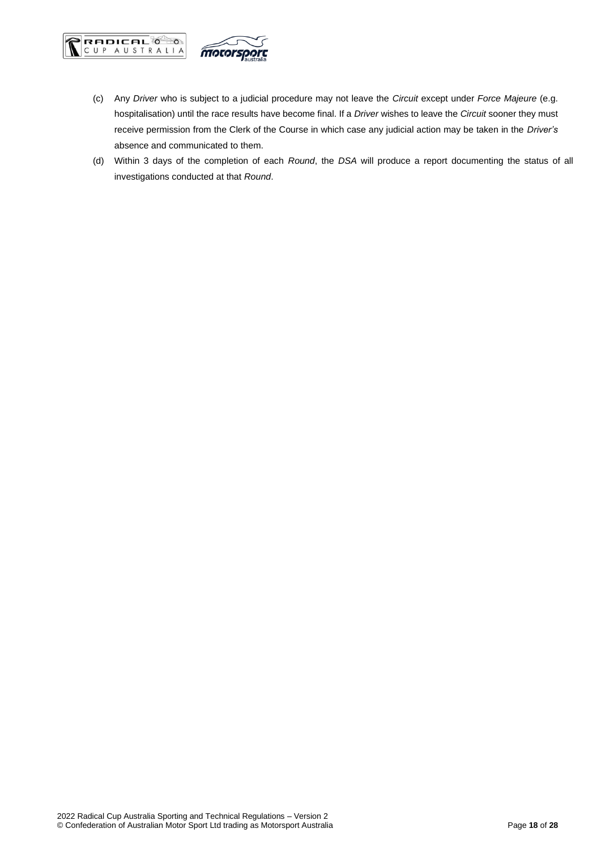



- (c) Any *Driver* who is subject to a judicial procedure may not leave the *Circuit* except under *Force Majeure* (e.g. hospitalisation) until the race results have become final. If a *Driver* wishes to leave the *Circuit* sooner they must receive permission from the Clerk of the Course in which case any judicial action may be taken in the *Driver's* absence and communicated to them.
- (d) Within 3 days of the completion of each *Round*, the *DSA* will produce a report documenting the status of all investigations conducted at that *Round*.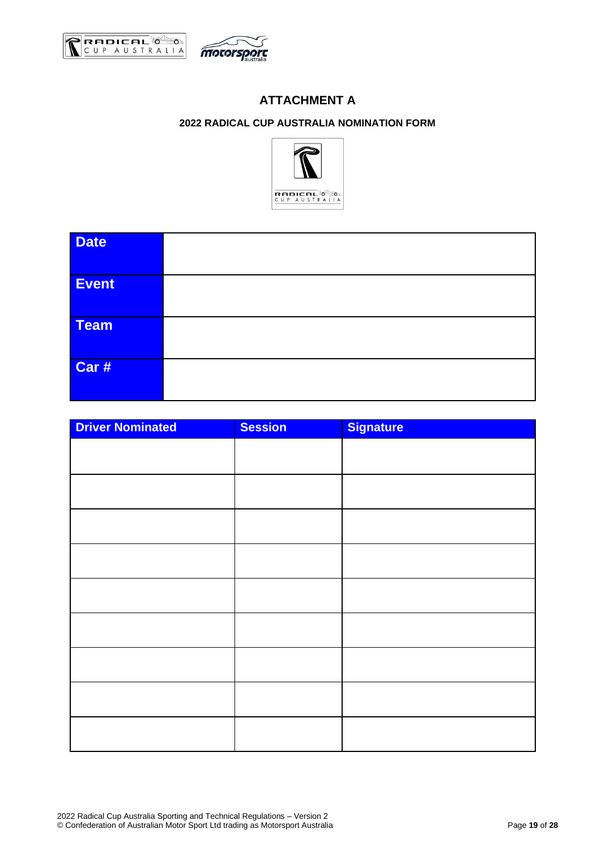<span id="page-18-1"></span><span id="page-18-0"></span>



## **ATTACHMENT A**

## **2022 RADICAL CUP AUSTRALIA NOMINATION FORM**



| <b>Date</b> |  |
|-------------|--|
| Event       |  |
| Team        |  |
| Car #       |  |

| <b>Driver Nominated</b> | <b>Session</b> | <b>Signature</b> |
|-------------------------|----------------|------------------|
|                         |                |                  |
|                         |                |                  |
|                         |                |                  |
|                         |                |                  |
|                         |                |                  |
|                         |                |                  |
|                         |                |                  |
|                         |                |                  |
|                         |                |                  |
|                         |                |                  |
|                         |                |                  |
|                         |                |                  |
|                         |                |                  |
|                         |                |                  |
|                         |                |                  |
|                         |                |                  |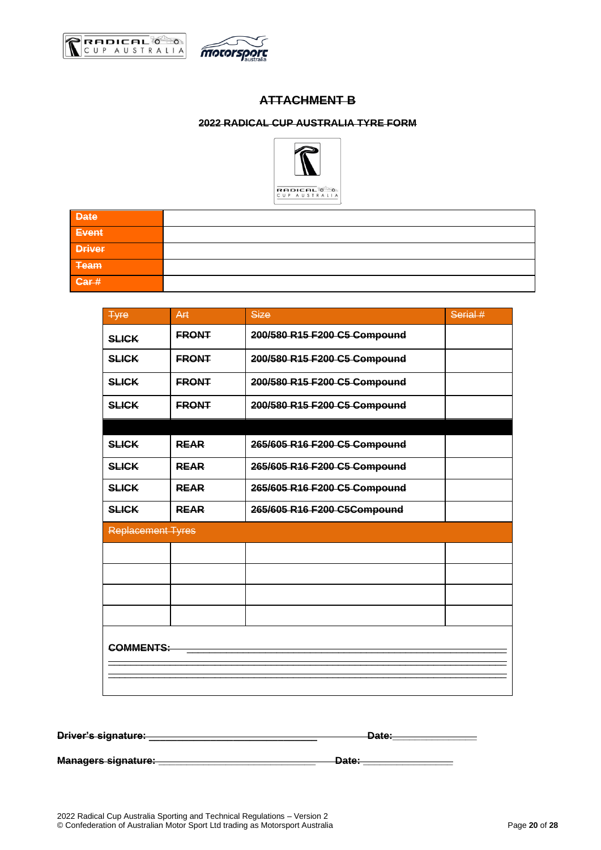<span id="page-19-1"></span><span id="page-19-0"></span>



## **ATTACHMENT B**

### **2022 RADICAL CUP AUSTRALIA TYRE FORM**



| <b>Date</b>   |  |
|---------------|--|
| Event         |  |
| <b>Driver</b> |  |
| Team          |  |
| Car#          |  |

| <b>Tyre</b>              | Art          | <b>Size</b>                  | Serial # |  |  |
|--------------------------|--------------|------------------------------|----------|--|--|
| <b>SLICK</b>             | <b>FRONT</b> | 200/580 R15 F200 C5 Compound |          |  |  |
| <b>SLICK</b>             | <b>ERONT</b> | 200/580 R15 F200 C5 Compound |          |  |  |
| <b>SLICK</b>             | <b>FRONT</b> | 200/580 R15 F200 C5 Compound |          |  |  |
| <b>SLICK</b>             | <b>ERONT</b> | 200/580 R15 F200 C5 Compound |          |  |  |
|                          |              |                              |          |  |  |
| <b>SLICK</b>             | <b>REAR</b>  | 265/605 R16 F200 C5 Compound |          |  |  |
| <b>SLICK</b>             | <b>REAR</b>  | 265/605 R16 F200 C5 Compound |          |  |  |
| <b>SLICK</b>             | <b>REAR</b>  | 265/605 R16 F200 C5 Compound |          |  |  |
| <b>SLICK</b>             | <b>REAR</b>  | 265/605 R16 F200 C5Compound  |          |  |  |
| <b>Replacement Tyres</b> |              |                              |          |  |  |
|                          |              |                              |          |  |  |
|                          |              |                              |          |  |  |
|                          |              |                              |          |  |  |
|                          |              |                              |          |  |  |
| <b>COMMENTS:</b>         |              |                              |          |  |  |
|                          |              |                              |          |  |  |
|                          |              |                              |          |  |  |
|                          |              |                              |          |  |  |

| Driver's signature:        | י ה+פר<br><del>Ducc.</del> |
|----------------------------|----------------------------|
|                            |                            |
|                            |                            |
| <b>Managers signature:</b> | <b>10ta</b>                |
|                            | <del>Duc.</del>            |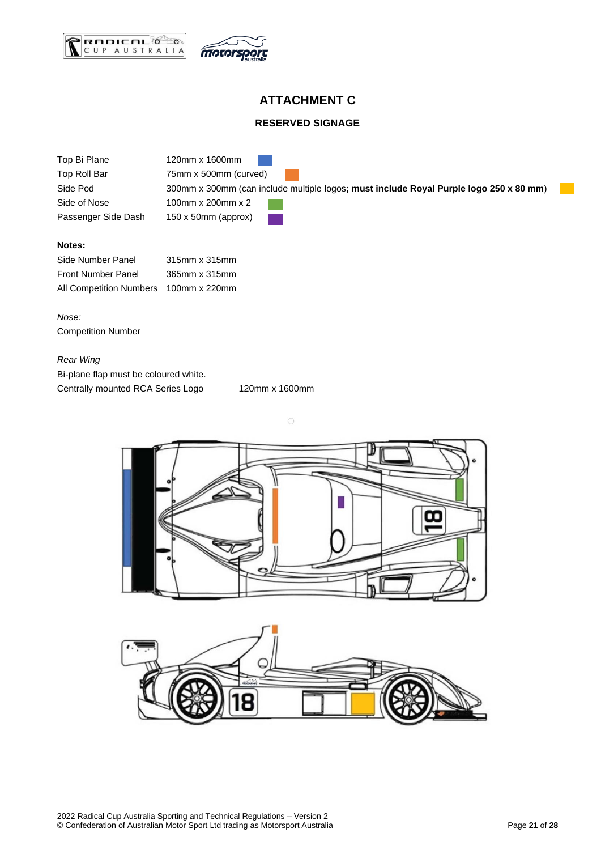



## **ATTACHMENT C**

#### **RESERVED SIGNAGE**

<span id="page-20-1"></span><span id="page-20-0"></span>

| Top Bi Plane        | 120mm x 1600mm                                                                         |
|---------------------|----------------------------------------------------------------------------------------|
| Top Roll Bar        | 75mm x 500mm (curved)                                                                  |
| Side Pod            | 300mm x 300mm (can include multiple logos; must include Royal Purple logo 250 x 80 mm) |
| Side of Nose        | 100mm x 200mm x 2                                                                      |
| Passenger Side Dash | $150 \times 50$ mm (approx)                                                            |

#### **Notes:**

| Side Number Panel         | 315mm x 315mm |
|---------------------------|---------------|
| <b>Front Number Panel</b> | 365mm x 315mm |
| All Competition Numbers   | 100mm x 220mm |

*Nose:* Competition Number

## *Rear Wing* Bi-plane flap must be coloured white. Centrally mounted RCA Series Logo 120mm x 1600mm



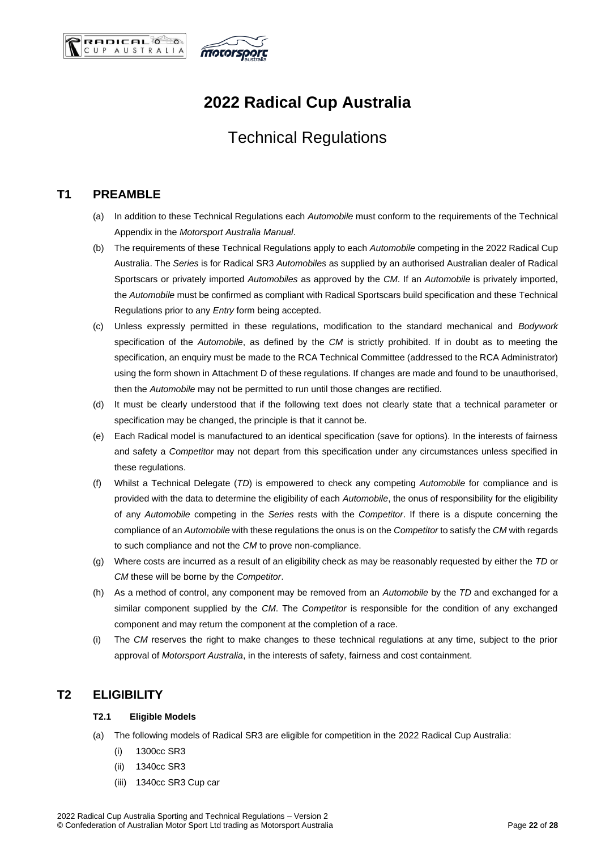



## **2022 Radical Cup Australia**

## Technical Regulations

## <span id="page-21-0"></span>**T1 PREAMBLE**

- (a) In addition to these Technical Regulations each *Automobile* must conform to the requirements of the Technical Appendix in the *Motorsport Australia Manual*.
- (b) The requirements of these Technical Regulations apply to each *Automobile* competing in the 2022 Radical Cup Australia. The *Series* is for Radical SR3 *Automobiles* as supplied by an authorised Australian dealer of Radical Sportscars or privately imported *Automobiles* as approved by the *CM*. If an *Automobile* is privately imported, the *Automobile* must be confirmed as compliant with Radical Sportscars build specification and these Technical Regulations prior to any *Entry* form being accepted.
- (c) Unless expressly permitted in these regulations, modification to the standard mechanical and *Bodywork* specification of the *Automobile*, as defined by the *CM* is strictly prohibited. If in doubt as to meeting the specification, an enquiry must be made to the RCA Technical Committee (addressed to the RCA Administrator) using the form shown in Attachment D of these regulations. If changes are made and found to be unauthorised, then the *Automobile* may not be permitted to run until those changes are rectified.
- (d) It must be clearly understood that if the following text does not clearly state that a technical parameter or specification may be changed, the principle is that it cannot be.
- (e) Each Radical model is manufactured to an identical specification (save for options). In the interests of fairness and safety a *Competitor* may not depart from this specification under any circumstances unless specified in these regulations.
- (f) Whilst a Technical Delegate (*TD*) is empowered to check any competing *Automobile* for compliance and is provided with the data to determine the eligibility of each *Automobile*, the onus of responsibility for the eligibility of any *Automobile* competing in the *Series* rests with the *Competitor*. If there is a dispute concerning the compliance of an *Automobile* with these regulations the onus is on the *Competitor* to satisfy the *CM* with regards to such compliance and not the *CM* to prove non-compliance.
- (g) Where costs are incurred as a result of an eligibility check as may be reasonably requested by either the *TD* or *CM* these will be borne by the *Competitor*.
- (h) As a method of control, any component may be removed from an *Automobile* by the *TD* and exchanged for a similar component supplied by the *CM*. The *Competitor* is responsible for the condition of any exchanged component and may return the component at the completion of a race.
- (i) The *CM* reserves the right to make changes to these technical regulations at any time, subject to the prior approval of *Motorsport Australia*, in the interests of safety, fairness and cost containment.

## <span id="page-21-2"></span><span id="page-21-1"></span>**T2 ELIGIBILITY**

#### **T2.1 Eligible Models**

- (a) The following models of Radical SR3 are eligible for competition in the 2022 Radical Cup Australia:
	- (i) 1300cc SR3
	- (ii) 1340cc SR3
	- (iii) 1340cc SR3 Cup car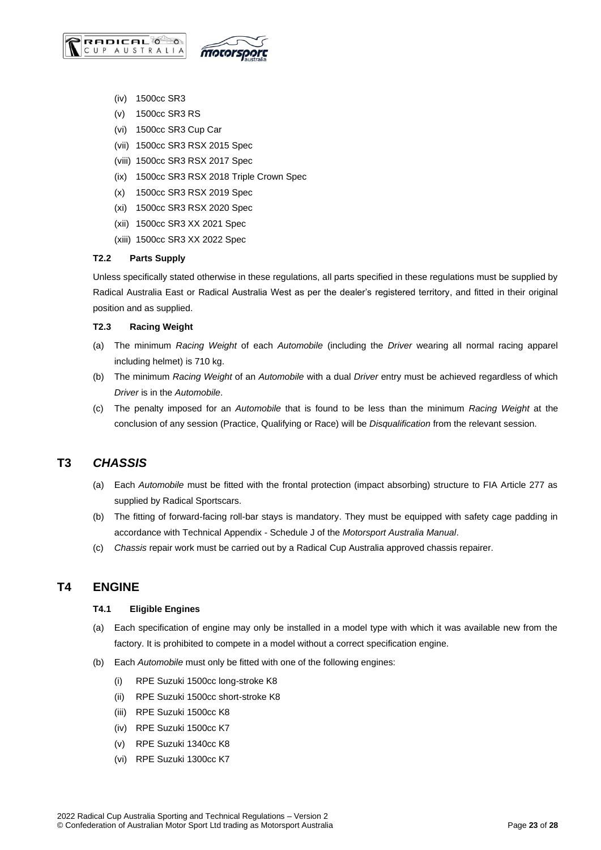

- (iv) 1500cc SR3
- (v) 1500cc SR3 RS
- (vi) 1500cc SR3 Cup Car
- (vii) 1500cc SR3 RSX 2015 Spec
- (viii) 1500cc SR3 RSX 2017 Spec
- (ix) 1500cc SR3 RSX 2018 Triple Crown Spec
- (x) 1500cc SR3 RSX 2019 Spec
- (xi) 1500cc SR3 RSX 2020 Spec
- (xii) 1500cc SR3 XX 2021 Spec
- (xiii) 1500cc SR3 XX 2022 Spec

#### <span id="page-22-0"></span>**T2.2 Parts Supply**

Unless specifically stated otherwise in these regulations, all parts specified in these regulations must be supplied by Radical Australia East or Radical Australia West as per the dealer's registered territory, and fitted in their original position and as supplied.

#### <span id="page-22-1"></span>**T2.3 Racing Weight**

- (a) The minimum *Racing Weight* of each *Automobile* (including the *Driver* wearing all normal racing apparel including helmet) is 710 kg.
- (b) The minimum *Racing Weight* of an *Automobile* with a dual *Driver* entry must be achieved regardless of which *Driver* is in the *Automobile*.
- (c) The penalty imposed for an *Automobile* that is found to be less than the minimum *Racing Weight* at the conclusion of any session (Practice, Qualifying or Race) will be *Disqualification* from the relevant session.

## <span id="page-22-2"></span>**T3** *CHASSIS*

- (a) Each *Automobile* must be fitted with the frontal protection (impact absorbing) structure to FIA Article 277 as supplied by Radical Sportscars.
- (b) The fitting of forward-facing roll-bar stays is mandatory. They must be equipped with safety cage padding in accordance with Technical Appendix - Schedule J of the *Motorsport Australia Manual*.
- (c) *Chassis* repair work must be carried out by a Radical Cup Australia approved chassis repairer.

## <span id="page-22-4"></span><span id="page-22-3"></span>**T4 ENGINE**

#### **T4.1 Eligible Engines**

- (a) Each specification of engine may only be installed in a model type with which it was available new from the factory. It is prohibited to compete in a model without a correct specification engine.
- (b) Each *Automobile* must only be fitted with one of the following engines:
	- (i) RPE Suzuki 1500cc long-stroke K8
	- (ii) RPE Suzuki 1500cc short-stroke K8
	- (iii) RPE Suzuki 1500cc K8
	- (iv) RPE Suzuki 1500cc K7
	- (v) RPE Suzuki 1340cc K8
	- (vi) RPE Suzuki 1300cc K7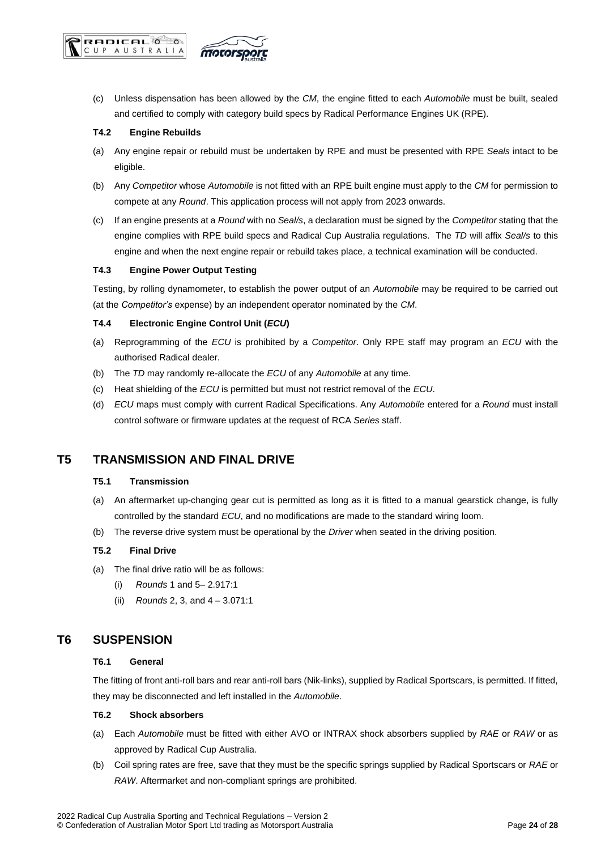

(c) Unless dispensation has been allowed by the *CM*, the engine fitted to each *Automobile* must be built, sealed and certified to comply with category build specs by Radical Performance Engines UK (RPE).

#### <span id="page-23-0"></span>**T4.2 Engine Rebuilds**

- (a) Any engine repair or rebuild must be undertaken by RPE and must be presented with RPE *Seals* intact to be eligible.
- (b) Any *Competitor* whose *Automobile* is not fitted with an RPE built engine must apply to the *CM* for permission to compete at any *Round*. This application process will not apply from 2023 onwards.
- (c) If an engine presents at a *Round* with no *Seal/s*, a declaration must be signed by the *Competitor* stating that the engine complies with RPE build specs and Radical Cup Australia regulations. The *TD* will affix *Seal/s* to this engine and when the next engine repair or rebuild takes place, a technical examination will be conducted.

#### <span id="page-23-1"></span>**T4.3 Engine Power Output Testing**

Testing, by rolling dynamometer, to establish the power output of an *Automobile* may be required to be carried out (at the *Competitor's* expense) by an independent operator nominated by the *CM*.

#### <span id="page-23-2"></span>**T4.4 Electronic Engine Control Unit (***ECU***)**

- (a) Reprogramming of the *ECU* is prohibited by a *Competitor*. Only RPE staff may program an *ECU* with the authorised Radical dealer.
- (b) The *TD* may randomly re-allocate the *ECU* of any *Automobile* at any time.
- (c) Heat shielding of the *ECU* is permitted but must not restrict removal of the *ECU*.
- (d) *ECU* maps must comply with current Radical Specifications. Any *Automobile* entered for a *Round* must install control software or firmware updates at the request of RCA *Series* staff.

## <span id="page-23-4"></span><span id="page-23-3"></span>**T5 TRANSMISSION AND FINAL DRIVE**

#### **T5.1 Transmission**

- (a) An aftermarket up-changing gear cut is permitted as long as it is fitted to a manual gearstick change, is fully controlled by the standard *ECU*, and no modifications are made to the standard wiring loom.
- (b) The reverse drive system must be operational by the *Driver* when seated in the driving position.

#### <span id="page-23-5"></span>**T5.2 Final Drive**

- (a) The final drive ratio will be as follows:
	- (i) *Rounds* 1 and 5– 2.917:1
	- (ii) *Rounds* 2, 3, and 4 3.071:1

## <span id="page-23-7"></span><span id="page-23-6"></span>**T6 SUSPENSION**

#### **T6.1 General**

The fitting of front anti-roll bars and rear anti-roll bars (Nik-links), supplied by Radical Sportscars, is permitted. If fitted, they may be disconnected and left installed in the *Automobile*.

#### <span id="page-23-8"></span>**T6.2 Shock absorbers**

- (a) Each *Automobile* must be fitted with either AVO or INTRAX shock absorbers supplied by *RAE* or *RAW* or as approved by Radical Cup Australia.
- (b) Coil spring rates are free, save that they must be the specific springs supplied by Radical Sportscars or *RAE* or *RAW*. Aftermarket and non-compliant springs are prohibited.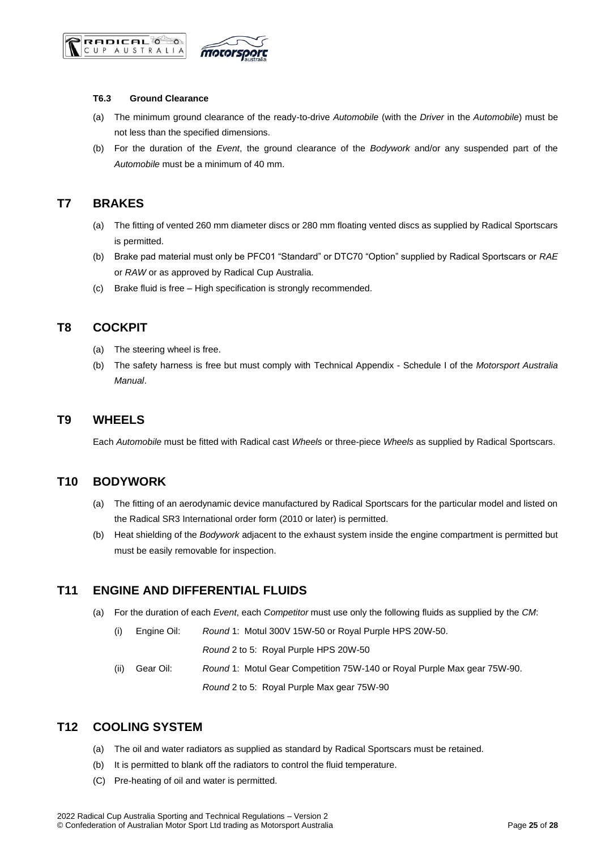



#### <span id="page-24-0"></span>**T6.3 Ground Clearance**

- (a) The minimum ground clearance of the ready-to-drive *Automobile* (with the *Driver* in the *Automobile*) must be not less than the specified dimensions.
- (b) For the duration of the *Event*, the ground clearance of the *Bodywork* and/or any suspended part of the *Automobile* must be a minimum of 40 mm.

## <span id="page-24-1"></span>**T7 BRAKES**

- (a) The fitting of vented 260 mm diameter discs or 280 mm floating vented discs as supplied by Radical Sportscars is permitted.
- (b) Brake pad material must only be PFC01 "Standard" or DTC70 "Option" supplied by Radical Sportscars or *RAE* or *RAW* or as approved by Radical Cup Australia.
- (c) Brake fluid is free High specification is strongly recommended.

## <span id="page-24-2"></span>**T8 COCKPIT**

- (a) The steering wheel is free.
- (b) The safety harness is free but must comply with Technical Appendix Schedule I of the *Motorsport Australia Manual*.

## <span id="page-24-3"></span>**T9 WHEELS**

Each *Automobile* must be fitted with Radical cast *Wheels* or three-piece *Wheels* as supplied by Radical Sportscars.

## <span id="page-24-4"></span>**T10 BODYWORK**

- (a) The fitting of an aerodynamic device manufactured by Radical Sportscars for the particular model and listed on the Radical SR3 International order form (2010 or later) is permitted.
- (b) Heat shielding of the *Bodywork* adjacent to the exhaust system inside the engine compartment is permitted but must be easily removable for inspection.

## <span id="page-24-5"></span>**T11 ENGINE AND DIFFERENTIAL FLUIDS**

- (a) For the duration of each *Event*, each *Competitor* must use only the following fluids as supplied by the *CM*:
	- (i) Engine Oil: *Round* 1: Motul 300V 15W-50 or Royal Purple HPS 20W-50.

*Round* 2 to 5: Royal Purple HPS 20W-50

(ii) Gear Oil: *Round* 1: Motul Gear Competition 75W-140 or Royal Purple Max gear 75W-90. *Round* 2 to 5: Royal Purple Max gear 75W-90

## <span id="page-24-6"></span>**T12 COOLING SYSTEM**

- (a) The oil and water radiators as supplied as standard by Radical Sportscars must be retained.
- (b) It is permitted to blank off the radiators to control the fluid temperature.
- (C) Pre-heating of oil and water is permitted.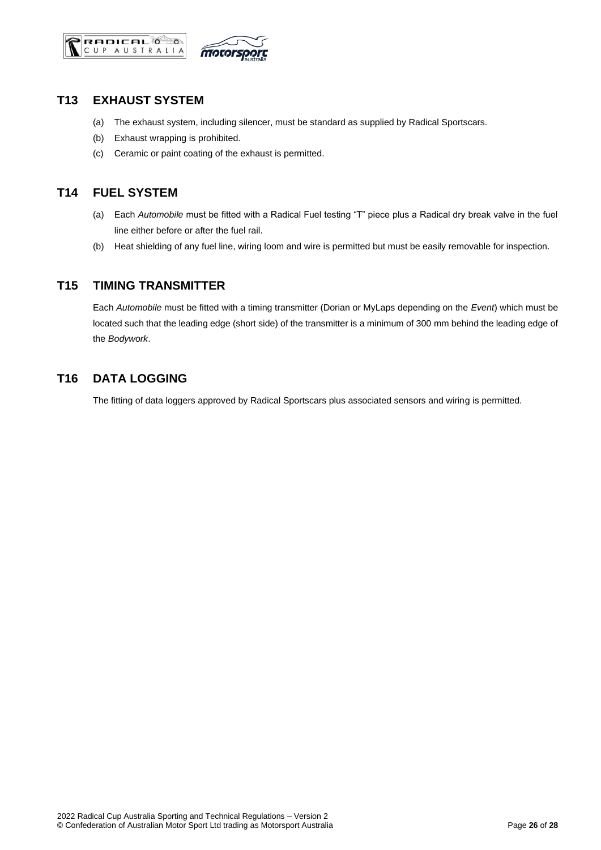



## <span id="page-25-0"></span>**T13 EXHAUST SYSTEM**

- (a) The exhaust system, including silencer, must be standard as supplied by Radical Sportscars.
- (b) Exhaust wrapping is prohibited.
- (c) Ceramic or paint coating of the exhaust is permitted.

## <span id="page-25-1"></span>**T14 FUEL SYSTEM**

- (a) Each *Automobile* must be fitted with a Radical Fuel testing "T" piece plus a Radical dry break valve in the fuel line either before or after the fuel rail.
- (b) Heat shielding of any fuel line, wiring loom and wire is permitted but must be easily removable for inspection.

## <span id="page-25-2"></span>**T15 TIMING TRANSMITTER**

Each *Automobile* must be fitted with a timing transmitter (Dorian or MyLaps depending on the *Event*) which must be located such that the leading edge (short side) of the transmitter is a minimum of 300 mm behind the leading edge of the *Bodywork*.

## <span id="page-25-3"></span>**T16 DATA LOGGING**

The fitting of data loggers approved by Radical Sportscars plus associated sensors and wiring is permitted.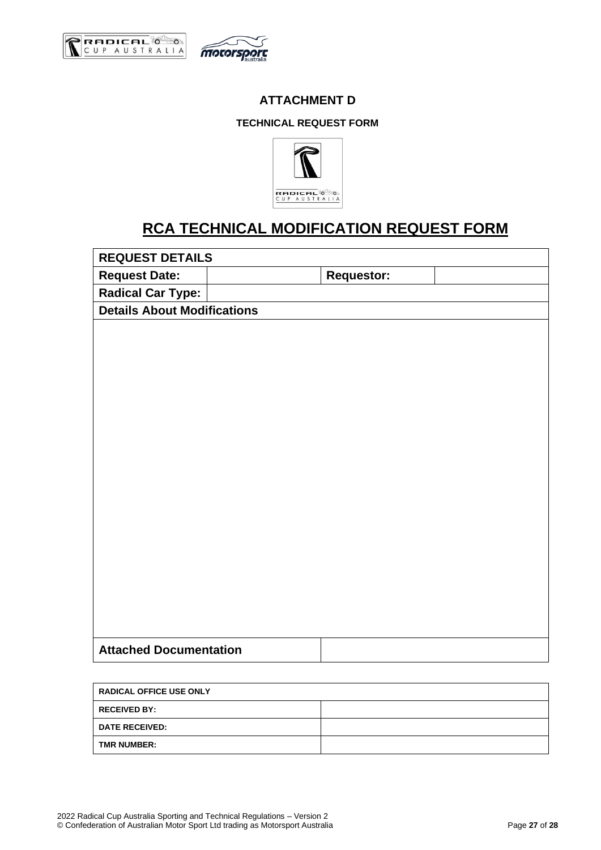<span id="page-26-1"></span><span id="page-26-0"></span>



## **ATTACHMENT D**

### **TECHNICAL REQUEST FORM**



## **RCA TECHNICAL MODIFICATION REQUEST FORM**

**REQUEST DETAILS**

Request Date:  $\vert$  **Requestor:** 

**Radical Car Type:**

**Details About Modifications**

| <b>RADICAL OFFICE USE ONLY</b> |  |  |  |
|--------------------------------|--|--|--|
| <b>RECEIVED BY:</b>            |  |  |  |
| <b>DATE RECEIVED:</b>          |  |  |  |
| <b>TMR NUMBER:</b>             |  |  |  |